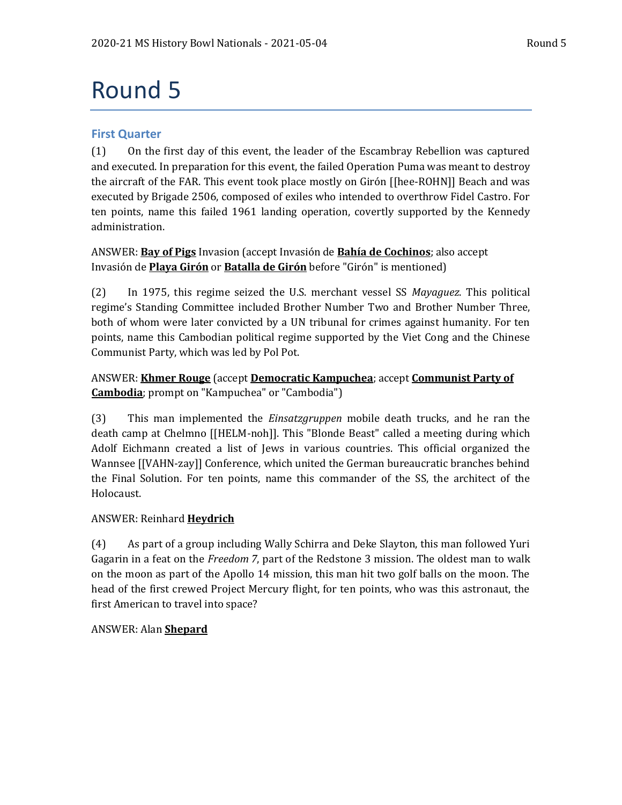# Round 5

# **First Quarter**

(1) On the first day of this event, the leader of the Escambray Rebellion was captured and executed. In preparation for this event, the failed Operation Puma was meant to destroy the aircraft of the FAR. This event took place mostly on Girón [[hee-ROHN]] Beach and was executed by Brigade 2506, composed of exiles who intended to overthrow Fidel Castro. For ten points, name this failed 1961 landing operation, covertly supported by the Kennedy administration.

ANSWER: **Bay of Pigs** Invasion (accept Invasión de **Bahía de Cochinos**; also accept Invasión de **Playa Girón** or **Batalla de Girón** before "Girón" is mentioned)

(2) In 1975, this regime seized the U.S. merchant vessel SS *Mayaguez*. This political regime's Standing Committee included Brother Number Two and Brother Number Three, both of whom were later convicted by a UN tribunal for crimes against humanity. For ten points, name this Cambodian political regime supported by the Viet Cong and the Chinese Communist Party, which was led by Pol Pot.

# ANSWER: **Khmer Rouge** (accept **Democratic Kampuchea**; accept **Communist Party of Cambodia**; prompt on "Kampuchea" or "Cambodia")

(3) This man implemented the *Einsatzgruppen* mobile death trucks, and he ran the death camp at Chelmno [[HELM-noh]]. This "Blonde Beast" called a meeting during which Adolf Eichmann created a list of Jews in various countries. This official organized the Wannsee [[VAHN-zay]] Conference, which united the German bureaucratic branches behind the Final Solution. For ten points, name this commander of the SS, the architect of the Holocaust.

# ANSWER: Reinhard **Heydrich**

(4) As part of a group including Wally Schirra and Deke Slayton, this man followed Yuri Gagarin in a feat on the *Freedom 7*, part of the Redstone 3 mission. The oldest man to walk on the moon as part of the Apollo 14 mission, this man hit two golf balls on the moon. The head of the first crewed Project Mercury flight, for ten points, who was this astronaut, the first American to travel into space?

# ANSWER: Alan **Shepard**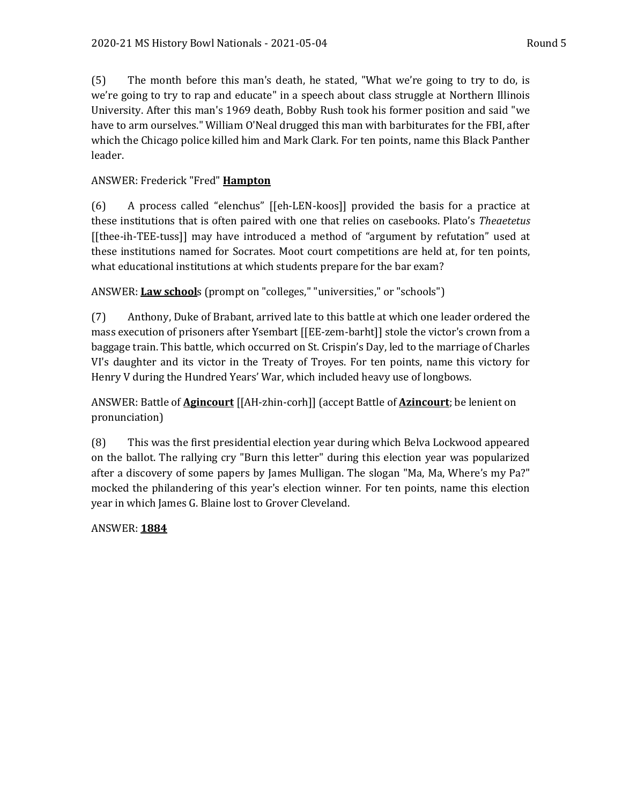(5) The month before this man's death, he stated, "What we're going to try to do, is we're going to try to rap and educate" in a speech about class struggle at Northern Illinois University. After this man's 1969 death, Bobby Rush took his former position and said "we have to arm ourselves." William O'Neal drugged this man with barbiturates for the FBI, after which the Chicago police killed him and Mark Clark. For ten points, name this Black Panther leader.

# ANSWER: Frederick "Fred" **Hampton**

(6) A process called "elenchus" [[eh-LEN-koos]] provided the basis for a practice at these institutions that is often paired with one that relies on casebooks. Plato's *Theaetetus* [[thee-ih-TEE-tuss]] may have introduced a method of "argument by refutation" used at these institutions named for Socrates. Moot court competitions are held at, for ten points, what educational institutions at which students prepare for the bar exam?

ANSWER: **Law school**s (prompt on "colleges," "universities," or "schools")

(7) Anthony, Duke of Brabant, arrived late to this battle at which one leader ordered the mass execution of prisoners after Ysembart [[EE-zem-barht]] stole the victor's crown from a baggage train. This battle, which occurred on St. Crispin's Day, led to the marriage of Charles VI's daughter and its victor in the Treaty of Troyes. For ten points, name this victory for Henry V during the Hundred Years' War, which included heavy use of longbows.

ANSWER: Battle of **Agincourt** [[AH-zhin-corh]] (accept Battle of **Azincourt**; be lenient on pronunciation)

(8) This was the first presidential election year during which Belva Lockwood appeared on the ballot. The rallying cry "Burn this letter" during this election year was popularized after a discovery of some papers by James Mulligan. The slogan "Ma, Ma, Where's my Pa?" mocked the philandering of this year's election winner. For ten points, name this election year in which James G. Blaine lost to Grover Cleveland.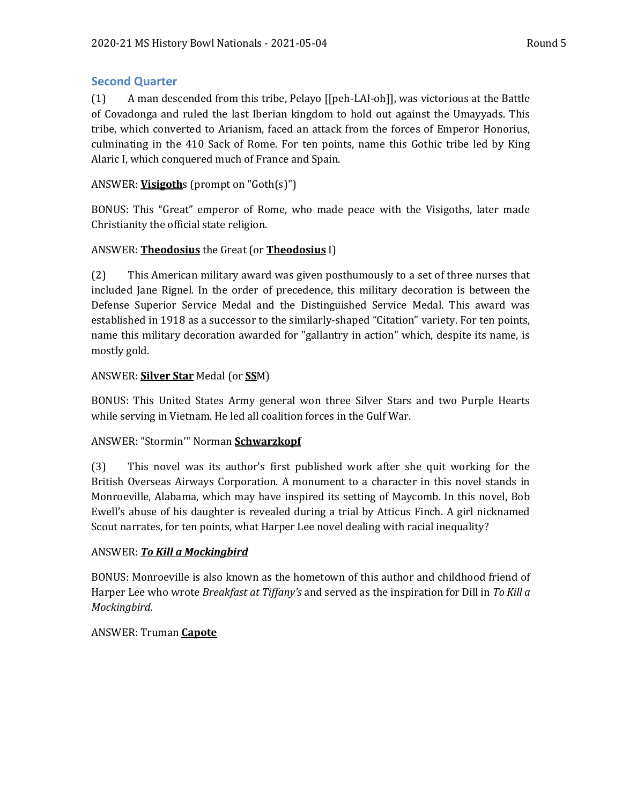# **Second Quarter**

(1) A man descended from this tribe, Pelayo [[peh-LAI-oh]], was victorious at the Battle of Covadonga and ruled the last Iberian kingdom to hold out against the Umayyads. This tribe, which converted to Arianism, faced an attack from the forces of Emperor Honorius, culminating in the 410 Sack of Rome. For ten points, name this Gothic tribe led by King Alaric I, which conquered much of France and Spain.

# ANSWER: **Visigoth**s (prompt on "Goth(s)")

BONUS: This "Great" emperor of Rome, who made peace with the Visigoths, later made Christianity the official state religion.

# ANSWER: **Theodosius** the Great (or **Theodosius** I)

(2) This American military award was given posthumously to a set of three nurses that included Jane Rignel. In the order of precedence, this military decoration is between the Defense Superior Service Medal and the Distinguished Service Medal. This award was established in 1918 as a successor to the similarly-shaped "Citation" variety. For ten points, name this military decoration awarded for "gallantry in action" which, despite its name, is mostly gold.

# ANSWER: **Silver Star** Medal (or **SS**M)

BONUS: This United States Army general won three Silver Stars and two Purple Hearts while serving in Vietnam. He led all coalition forces in the Gulf War.

# ANSWER: "Stormin'" Norman **Schwarzkopf**

(3) This novel was its author's first published work after she quit working for the British Overseas Airways Corporation. A monument to a character in this novel stands in Monroeville, Alabama, which may have inspired its setting of Maycomb. In this novel, Bob Ewell's abuse of his daughter is revealed during a trial by Atticus Finch. A girl nicknamed Scout narrates, for ten points, what Harper Lee novel dealing with racial inequality?

# ANSWER: *To Kill a Mockingbird*

BONUS: Monroeville is also known as the hometown of this author and childhood friend of Harper Lee who wrote *Breakfast at Tiffany's* and served as the inspiration for Dill in *To Kill a Mockingbird*.

# ANSWER: Truman **Capote**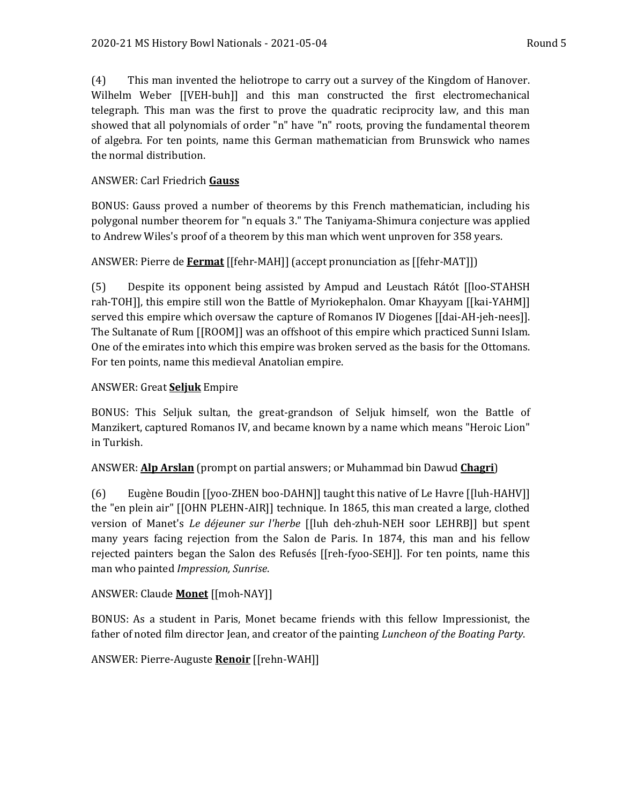(4) This man invented the heliotrope to carry out a survey of the Kingdom of Hanover. Wilhelm Weber [[VEH-buh]] and this man constructed the first electromechanical telegraph. This man was the first to prove the quadratic reciprocity law, and this man showed that all polynomials of order "n" have "n" roots, proving the fundamental theorem of algebra. For ten points, name this German mathematician from Brunswick who names the normal distribution.

## ANSWER: Carl Friedrich **Gauss**

BONUS: Gauss proved a number of theorems by this French mathematician, including his polygonal number theorem for "n equals 3." The Taniyama-Shimura conjecture was applied to Andrew Wiles's proof of a theorem by this man which went unproven for 358 years.

#### ANSWER: Pierre de **Fermat** [[fehr-MAH]] (accept pronunciation as [[fehr-MAT]])

(5) Despite its opponent being assisted by Ampud and Leustach Rátót [[loo-STAHSH rah-TOH]], this empire still won the Battle of Myriokephalon. Omar Khayyam [[kai-YAHM]] served this empire which oversaw the capture of Romanos IV Diogenes [[dai-AH-jeh-nees]]. The Sultanate of Rum [[ROOM]] was an offshoot of this empire which practiced Sunni Islam. One of the emirates into which this empire was broken served as the basis for the Ottomans. For ten points, name this medieval Anatolian empire.

#### ANSWER: Great **Seljuk** Empire

BONUS: This Seljuk sultan, the great-grandson of Seljuk himself, won the Battle of Manzikert, captured Romanos IV, and became known by a name which means "Heroic Lion" in Turkish.

#### ANSWER: **Alp Arslan** (prompt on partial answers; or Muhammad bin Dawud **Chagri**)

(6) Eugène Boudin [[yoo-ZHEN boo-DAHN]] taught this native of Le Havre [[luh-HAHV]] the "en plein air" [[OHN PLEHN-AIR]] technique. In 1865, this man created a large, clothed version of Manet's *Le déjeuner sur l'herbe* [[luh deh-zhuh-NEH soor LEHRB]] but spent many years facing rejection from the Salon de Paris. In 1874, this man and his fellow rejected painters began the Salon des Refusés [[reh-fyoo-SEH]]. For ten points, name this man who painted *Impression, Sunrise*.

# ANSWER: Claude **Monet** [[moh-NAY]]

BONUS: As a student in Paris, Monet became friends with this fellow Impressionist, the father of noted film director Jean, and creator of the painting *Luncheon of the Boating Party*.

# ANSWER: Pierre-Auguste **Renoir** [[rehn-WAH]]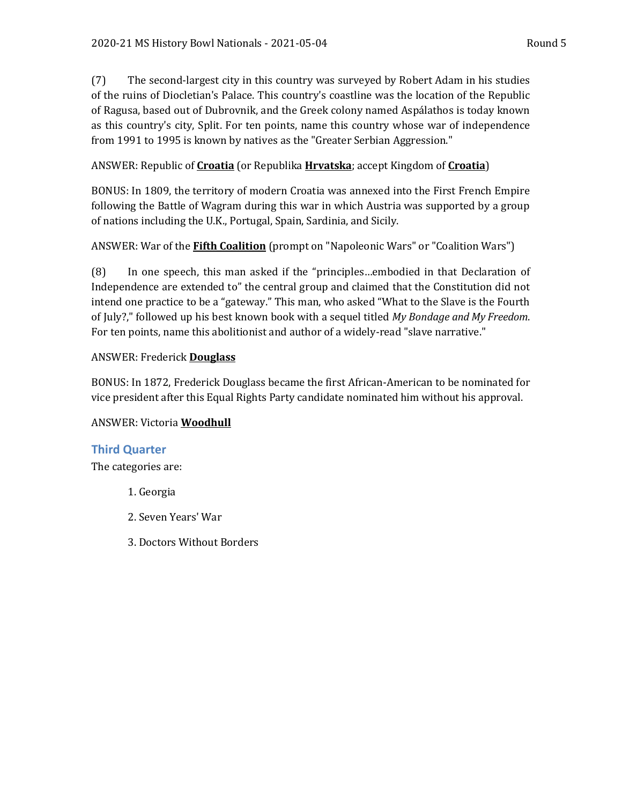(7) The second-largest city in this country was surveyed by Robert Adam in his studies of the ruins of Diocletian's Palace. This country's coastline was the location of the Republic of Ragusa, based out of Dubrovnik, and the Greek colony named Aspálathos is today known as this country's city, Split. For ten points, name this country whose war of independence from 1991 to 1995 is known by natives as the "Greater Serbian Aggression."

# ANSWER: Republic of **Croatia** (or Republika **Hrvatska**; accept Kingdom of **Croatia**)

BONUS: In 1809, the territory of modern Croatia was annexed into the First French Empire following the Battle of Wagram during this war in which Austria was supported by a group of nations including the U.K., Portugal, Spain, Sardinia, and Sicily.

# ANSWER: War of the **Fifth Coalition** (prompt on "Napoleonic Wars" or "Coalition Wars")

(8) In one speech, this man asked if the "principles…embodied in that Declaration of Independence are extended to" the central group and claimed that the Constitution did not intend one practice to be a "gateway." This man, who asked "What to the Slave is the Fourth of July?," followed up his best known book with a sequel titled *My Bondage and My Freedom*. For ten points, name this abolitionist and author of a widely-read "slave narrative."

# ANSWER: Frederick **Douglass**

BONUS: In 1872, Frederick Douglass became the first African-American to be nominated for vice president after this Equal Rights Party candidate nominated him without his approval.

# ANSWER: Victoria **Woodhull**

# **Third Quarter**

The categories are:

- 1. Georgia
- 2. Seven Years' War
- 3. Doctors Without Borders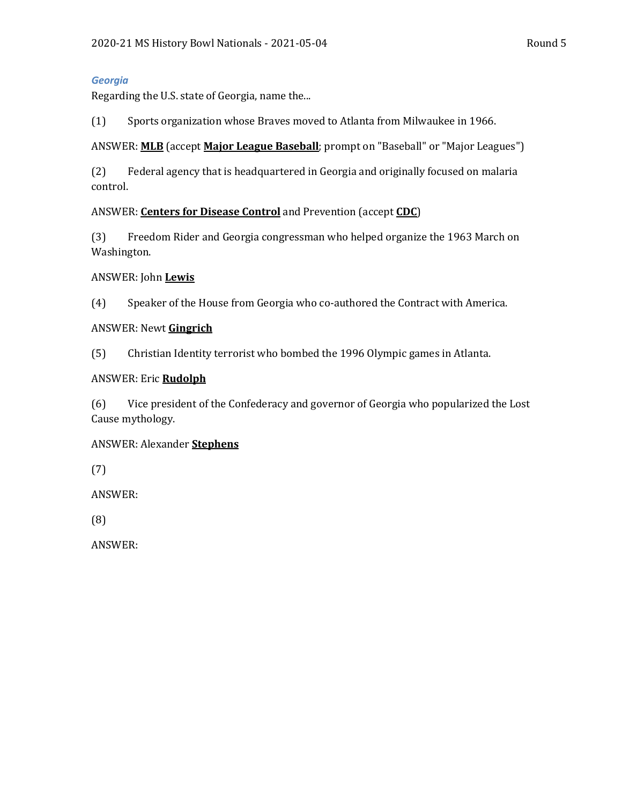#### *Georgia*

Regarding the U.S. state of Georgia, name the...

(1) Sports organization whose Braves moved to Atlanta from Milwaukee in 1966.

#### ANSWER: **MLB** (accept **Major League Baseball**; prompt on "Baseball" or "Major Leagues")

(2) Federal agency that is headquartered in Georgia and originally focused on malaria control.

#### ANSWER: **Centers for Disease Control** and Prevention (accept **CDC**)

(3) Freedom Rider and Georgia congressman who helped organize the 1963 March on Washington.

#### ANSWER: John **Lewis**

(4) Speaker of the House from Georgia who co-authored the Contract with America.

#### ANSWER: Newt **Gingrich**

(5) Christian Identity terrorist who bombed the 1996 Olympic games in Atlanta.

#### ANSWER: Eric **Rudolph**

(6) Vice president of the Confederacy and governor of Georgia who popularized the Lost Cause mythology.

# ANSWER: Alexander **Stephens**

(7)

ANSWER:

(8)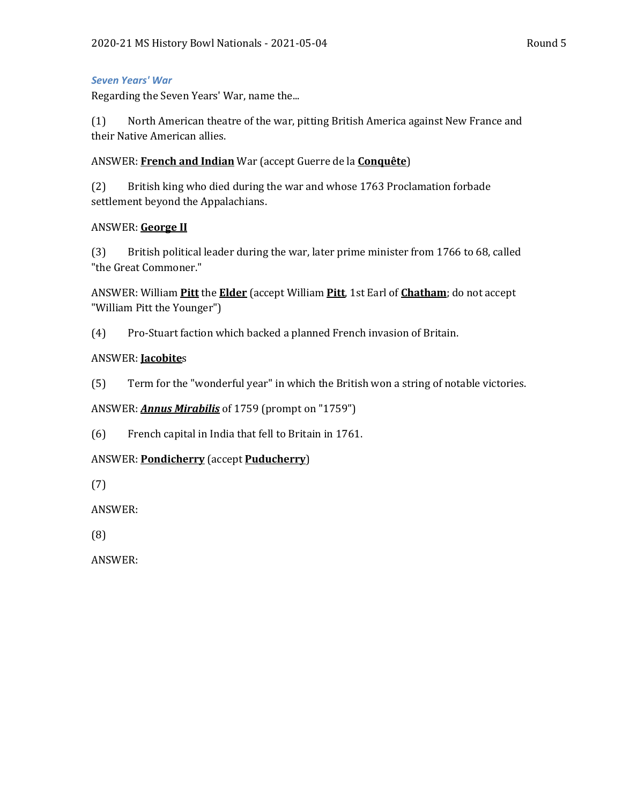#### *Seven Years' War*

Regarding the Seven Years' War, name the...

(1) North American theatre of the war, pitting British America against New France and their Native American allies.

#### ANSWER: **French and Indian** War (accept Guerre de la **Conquête**)

(2) British king who died during the war and whose 1763 Proclamation forbade settlement beyond the Appalachians.

#### ANSWER: **George II**

(3) British political leader during the war, later prime minister from 1766 to 68, called "the Great Commoner."

ANSWER: William **Pitt** the **Elder** (accept William **Pitt**, 1st Earl of **Chatham**; do not accept "William Pitt the Younger")

(4) Pro-Stuart faction which backed a planned French invasion of Britain.

#### ANSWER: **Jacobite**s

(5) Term for the "wonderful year" in which the British won a string of notable victories.

ANSWER: *Annus Mirabilis* of 1759 (prompt on "1759")

(6) French capital in India that fell to Britain in 1761.

# ANSWER: **Pondicherry** (accept **Puducherry**)

(7)

ANSWER:

(8)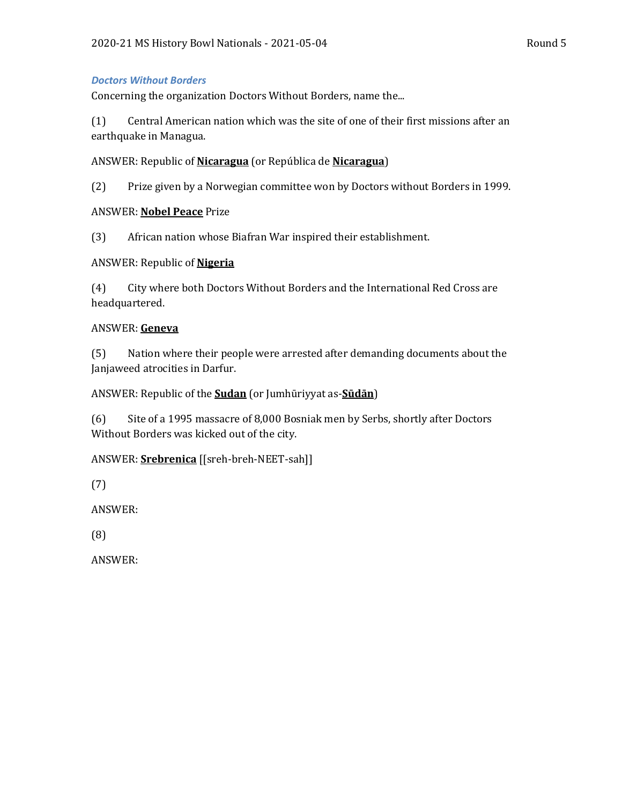#### *Doctors Without Borders*

Concerning the organization Doctors Without Borders, name the...

(1) Central American nation which was the site of one of their first missions after an earthquake in Managua.

#### ANSWER: Republic of **Nicaragua** (or República de **Nicaragua**)

(2) Prize given by a Norwegian committee won by Doctors without Borders in 1999.

#### ANSWER: **Nobel Peace** Prize

(3) African nation whose Biafran War inspired their establishment.

#### ANSWER: Republic of **Nigeria**

(4) City where both Doctors Without Borders and the International Red Cross are headquartered.

#### ANSWER: **Geneva**

(5) Nation where their people were arrested after demanding documents about the Janjaweed atrocities in Darfur.

#### ANSWER: Republic of the **Sudan** (or Jumhūriyyat as-**Sūdān**)

(6) Site of a 1995 massacre of 8,000 Bosniak men by Serbs, shortly after Doctors Without Borders was kicked out of the city.

#### ANSWER: **Srebrenica** [[sreh-breh-NEET-sah]]

(7)

ANSWER:

(8)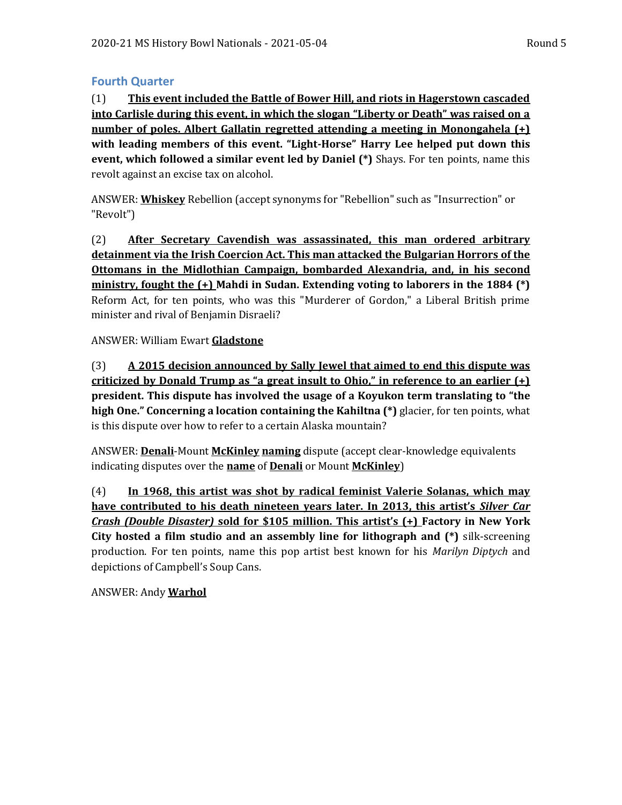## **Fourth Quarter**

(1) **This event included the Battle of Bower Hill, and riots in Hagerstown cascaded into Carlisle during this event, in which the slogan "Liberty or Death" was raised on a number of poles. Albert Gallatin regretted attending a meeting in Monongahela (+) with leading members of this event. "Light-Horse" Harry Lee helped put down this event, which followed a similar event led by Daniel (\*)** Shays. For ten points, name this revolt against an excise tax on alcohol.

ANSWER: **Whiskey** Rebellion (accept synonyms for "Rebellion" such as "Insurrection" or "Revolt")

(2) **After Secretary Cavendish was assassinated, this man ordered arbitrary detainment via the Irish Coercion Act. This man attacked the Bulgarian Horrors of the Ottomans in the Midlothian Campaign, bombarded Alexandria, and, in his second ministry, fought the (+) Mahdi in Sudan. Extending voting to laborers in the 1884 (\*)**  Reform Act, for ten points, who was this "Murderer of Gordon," a Liberal British prime minister and rival of Benjamin Disraeli?

ANSWER: William Ewart **Gladstone**

(3) **A 2015 decision announced by Sally Jewel that aimed to end this dispute was criticized by Donald Trump as "a great insult to Ohio," in reference to an earlier (+) president. This dispute has involved the usage of a Koyukon term translating to "the high One." Concerning a location containing the Kahiltna (\*)** glacier, for ten points, what is this dispute over how to refer to a certain Alaska mountain?

ANSWER: **Denali**-Mount **McKinley naming** dispute (accept clear-knowledge equivalents indicating disputes over the **name** of **Denali** or Mount **McKinley**)

(4) **In 1968, this artist was shot by radical feminist Valerie Solanas, which may have contributed to his death nineteen years later. In 2013, this artist's** *Silver Car Crash (Double Disaster)* **sold for \$105 million. This artist's (+) Factory in New York City hosted a film studio and an assembly line for lithograph and (\*)** silk-screening production. For ten points, name this pop artist best known for his *Marilyn Diptych* and depictions of Campbell's Soup Cans.

ANSWER: Andy **Warhol**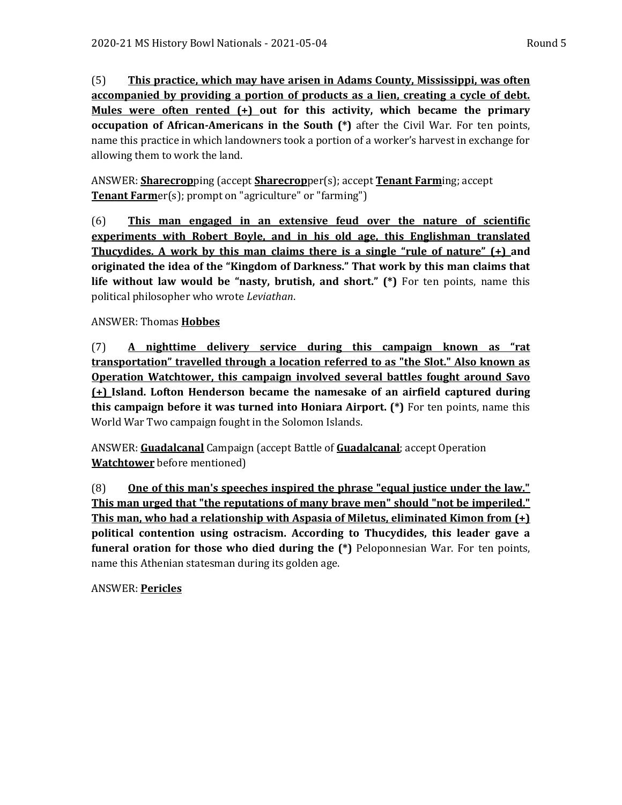(5) **This practice, which may have arisen in Adams County, Mississippi, was often accompanied by providing a portion of products as a lien, creating a cycle of debt. Mules were often rented (+) out for this activity, which became the primary occupation of African-Americans in the South (\*)** after the Civil War. For ten points, name this practice in which landowners took a portion of a worker's harvest in exchange for allowing them to work the land.

ANSWER: **Sharecrop**ping (accept **Sharecrop**per(s); accept **Tenant Farm**ing; accept **Tenant Farm**er(s); prompt on "agriculture" or "farming")

(6) **This man engaged in an extensive feud over the nature of scientific experiments with Robert Boyle, and in his old age, this Englishman translated Thucydides. A work by this man claims there is a single "rule of nature" (+) and originated the idea of the "Kingdom of Darkness." That work by this man claims that life without law would be "nasty, brutish, and short." (\*)** For ten points, name this political philosopher who wrote *Leviathan*.

# ANSWER: Thomas **Hobbes**

(7) **A nighttime delivery service during this campaign known as "rat transportation" travelled through a location referred to as "the Slot." Also known as Operation Watchtower, this campaign involved several battles fought around Savo (+) Island. Lofton Henderson became the namesake of an airfield captured during this campaign before it was turned into Honiara Airport. (\*)** For ten points, name this World War Two campaign fought in the Solomon Islands.

ANSWER: **Guadalcanal** Campaign (accept Battle of **Guadalcanal**; accept Operation **Watchtower** before mentioned)

(8) **One of this man's speeches inspired the phrase "equal justice under the law." This man urged that "the reputations of many brave men" should "not be imperiled." This man, who had a relationship with Aspasia of Miletus, eliminated Kimon from (+) political contention using ostracism. According to Thucydides, this leader gave a funeral oration for those who died during the (\*)** Peloponnesian War. For ten points, name this Athenian statesman during its golden age.

ANSWER: **Pericles**